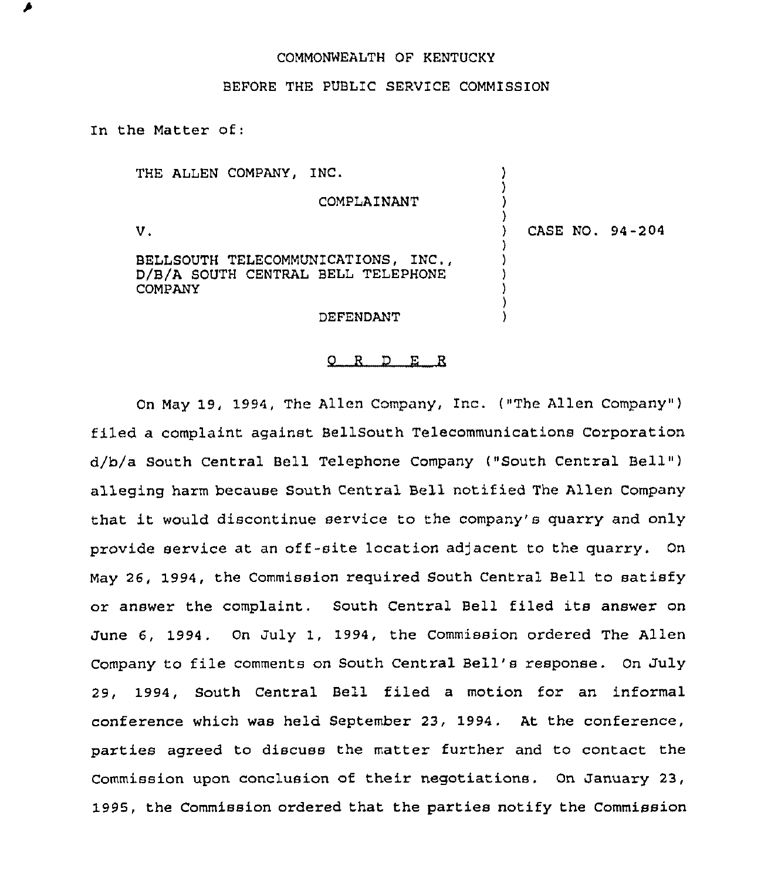## COMMONWEALTH OF KENTUCKY

## BEFORE THE PUBLIC SERVICE COMMISSION

In the Matter of:

| THE ALLEN COMPANY, INC.                                                                     |                 |
|---------------------------------------------------------------------------------------------|-----------------|
| COMPLAINANT                                                                                 |                 |
| v.                                                                                          | CASE NO. 94-204 |
| BELLSOUTH TELECOMMUNICATIONS, INC.,<br>D/B/A SOUTH CENTRAL BELL TELEPHONE<br><b>COMPANY</b> |                 |
| DEFENDANT                                                                                   |                 |

## 0 <sup>R</sup> <sup>D</sup> E R

On May 19, 1994, The Allen Company, Inc. ("The Allen Company" ) filed a complaint against BellSouth Telecommunications Corporation d/b/a South Central Bell Telephone Company ("South Central Bell" ) alleging harm because South Central Bell notified The Allen Company that it would discontinue service to the company's quarry and only provide service at an off-site location adjacent to the quarry. On May 26, 1994, the Commission required South Central Bell to satisfy or answer the complaint. South Central Bell filed its answer on June 6, 1994. On July 1, 1994, the Commission ordered The Allen Company to file comments on South Central Bell's response. On July 29, 1994, South Central Bell filed a motion for an informal conference which was held September 23, 1994. At the conference, parties agreed to discuss the matter further and to contact the Commission upon conclusion of their negotiations. On January 23, 1995, the Commission ordered that the parties notify the Commission